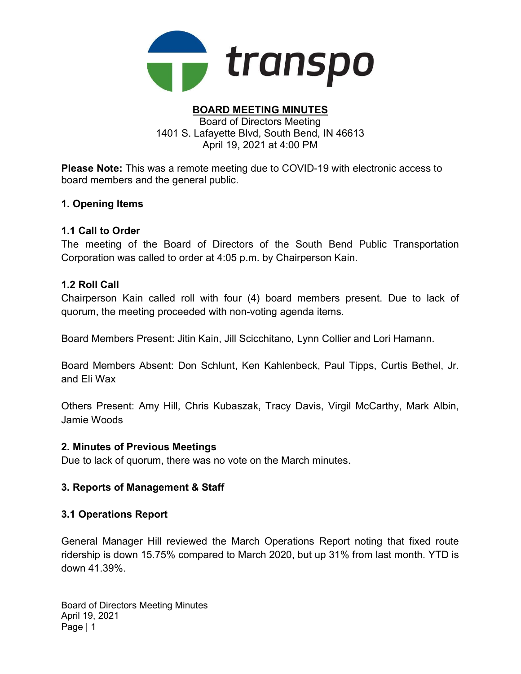

#### BOARD MEETING MINUTES Board of Directors Meeting 1401 S. Lafayette Blvd, South Bend, IN 46613 April 19, 2021 at 4:00 PM

Please Note: This was a remote meeting due to COVID-19 with electronic access to board members and the general public.

#### 1. Opening Items

#### 1.1 Call to Order

The meeting of the Board of Directors of the South Bend Public Transportation Corporation was called to order at 4:05 p.m. by Chairperson Kain.

#### 1.2 Roll Call

Chairperson Kain called roll with four (4) board members present. Due to lack of quorum, the meeting proceeded with non-voting agenda items.

Board Members Present: Jitin Kain, Jill Scicchitano, Lynn Collier and Lori Hamann.

Board Members Absent: Don Schlunt, Ken Kahlenbeck, Paul Tipps, Curtis Bethel, Jr. and Eli Wax

Others Present: Amy Hill, Chris Kubaszak, Tracy Davis, Virgil McCarthy, Mark Albin, Jamie Woods

#### 2. Minutes of Previous Meetings

Due to lack of quorum, there was no vote on the March minutes.

## 3. Reports of Management & Staff

## 3.1 Operations Report

General Manager Hill reviewed the March Operations Report noting that fixed route ridership is down 15.75% compared to March 2020, but up 31% from last month. YTD is down 41.39%.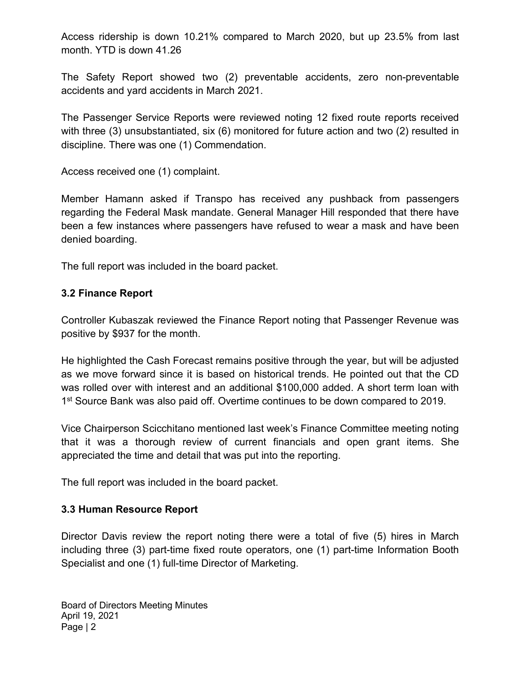Access ridership is down 10.21% compared to March 2020, but up 23.5% from last month. YTD is down 41.26

The Safety Report showed two (2) preventable accidents, zero non-preventable accidents and yard accidents in March 2021.

The Passenger Service Reports were reviewed noting 12 fixed route reports received with three (3) unsubstantiated, six (6) monitored for future action and two (2) resulted in discipline. There was one (1) Commendation.

Access received one (1) complaint.

Member Hamann asked if Transpo has received any pushback from passengers regarding the Federal Mask mandate. General Manager Hill responded that there have been a few instances where passengers have refused to wear a mask and have been denied boarding.

The full report was included in the board packet.

#### 3.2 Finance Report

Controller Kubaszak reviewed the Finance Report noting that Passenger Revenue was positive by \$937 for the month.

He highlighted the Cash Forecast remains positive through the year, but will be adjusted as we move forward since it is based on historical trends. He pointed out that the CD was rolled over with interest and an additional \$100,000 added. A short term loan with 1<sup>st</sup> Source Bank was also paid off. Overtime continues to be down compared to 2019.

Vice Chairperson Scicchitano mentioned last week's Finance Committee meeting noting that it was a thorough review of current financials and open grant items. She appreciated the time and detail that was put into the reporting.

The full report was included in the board packet.

## 3.3 Human Resource Report

Director Davis review the report noting there were a total of five (5) hires in March including three (3) part-time fixed route operators, one (1) part-time Information Booth Specialist and one (1) full-time Director of Marketing.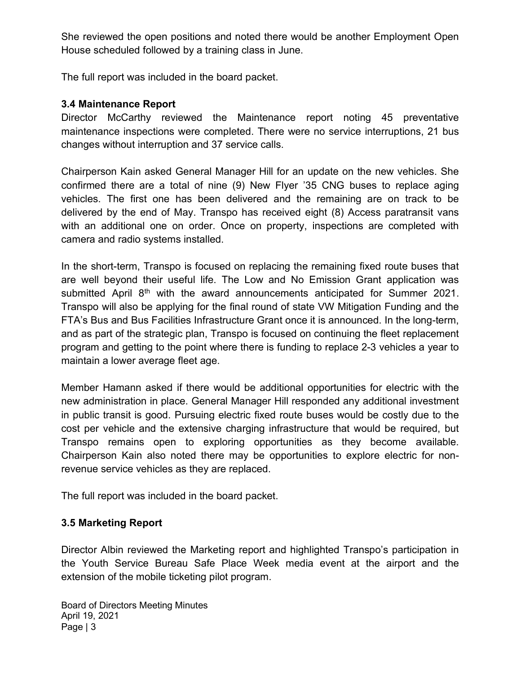She reviewed the open positions and noted there would be another Employment Open House scheduled followed by a training class in June.

The full report was included in the board packet.

#### 3.4 Maintenance Report

Director McCarthy reviewed the Maintenance report noting 45 preventative maintenance inspections were completed. There were no service interruptions, 21 bus changes without interruption and 37 service calls.

Chairperson Kain asked General Manager Hill for an update on the new vehicles. She confirmed there are a total of nine (9) New Flyer '35 CNG buses to replace aging vehicles. The first one has been delivered and the remaining are on track to be delivered by the end of May. Transpo has received eight (8) Access paratransit vans with an additional one on order. Once on property, inspections are completed with camera and radio systems installed.

In the short-term, Transpo is focused on replacing the remaining fixed route buses that are well beyond their useful life. The Low and No Emission Grant application was submitted April 8<sup>th</sup> with the award announcements anticipated for Summer 2021. Transpo will also be applying for the final round of state VW Mitigation Funding and the FTA's Bus and Bus Facilities Infrastructure Grant once it is announced. In the long-term, and as part of the strategic plan, Transpo is focused on continuing the fleet replacement program and getting to the point where there is funding to replace 2-3 vehicles a year to maintain a lower average fleet age.

Member Hamann asked if there would be additional opportunities for electric with the new administration in place. General Manager Hill responded any additional investment in public transit is good. Pursuing electric fixed route buses would be costly due to the cost per vehicle and the extensive charging infrastructure that would be required, but Transpo remains open to exploring opportunities as they become available. Chairperson Kain also noted there may be opportunities to explore electric for nonrevenue service vehicles as they are replaced.

The full report was included in the board packet.

## 3.5 Marketing Report

Director Albin reviewed the Marketing report and highlighted Transpo's participation in the Youth Service Bureau Safe Place Week media event at the airport and the extension of the mobile ticketing pilot program.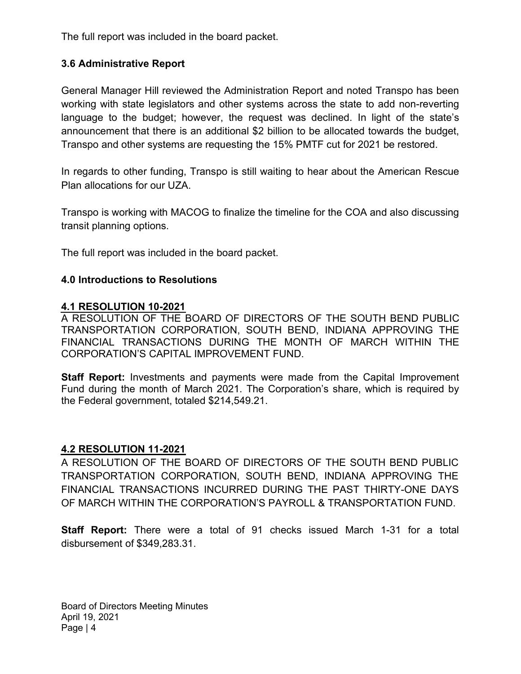The full report was included in the board packet.

## 3.6 Administrative Report

General Manager Hill reviewed the Administration Report and noted Transpo has been working with state legislators and other systems across the state to add non-reverting language to the budget; however, the request was declined. In light of the state's announcement that there is an additional \$2 billion to be allocated towards the budget, Transpo and other systems are requesting the 15% PMTF cut for 2021 be restored.

In regards to other funding, Transpo is still waiting to hear about the American Rescue Plan allocations for our UZA.

Transpo is working with MACOG to finalize the timeline for the COA and also discussing transit planning options.

The full report was included in the board packet.

#### 4.0 Introductions to Resolutions

#### 4.1 RESOLUTION 10-2021

A RESOLUTION OF THE BOARD OF DIRECTORS OF THE SOUTH BEND PUBLIC TRANSPORTATION CORPORATION, SOUTH BEND, INDIANA APPROVING THE FINANCIAL TRANSACTIONS DURING THE MONTH OF MARCH WITHIN THE CORPORATION'S CAPITAL IMPROVEMENT FUND.

**Staff Report:** Investments and payments were made from the Capital Improvement Fund during the month of March 2021. The Corporation's share, which is required by the Federal government, totaled \$214,549.21.

## 4.2 RESOLUTION 11-2021

A RESOLUTION OF THE BOARD OF DIRECTORS OF THE SOUTH BEND PUBLIC TRANSPORTATION CORPORATION, SOUTH BEND, INDIANA APPROVING THE FINANCIAL TRANSACTIONS INCURRED DURING THE PAST THIRTY-ONE DAYS OF MARCH WITHIN THE CORPORATION'S PAYROLL & TRANSPORTATION FUND.

Staff Report: There were a total of 91 checks issued March 1-31 for a total disbursement of \$349,283.31.